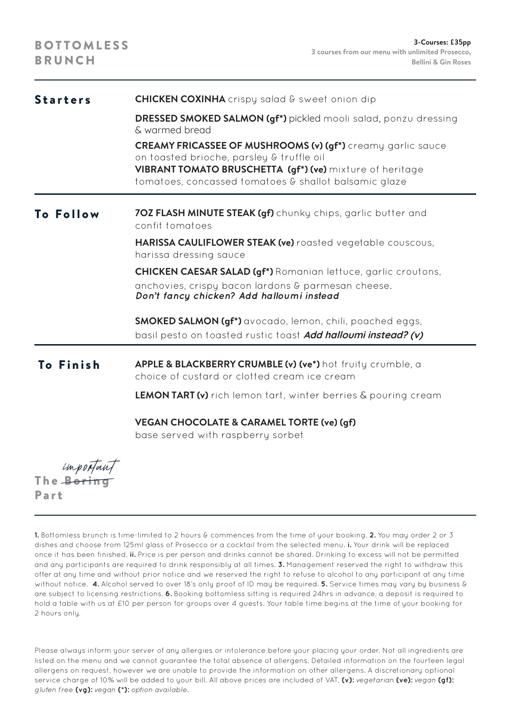| <b>Starters</b> | <b>CHICKEN COXINHA</b> crispy salad & sweet onion dip                                                                                                                                                                                |
|-----------------|--------------------------------------------------------------------------------------------------------------------------------------------------------------------------------------------------------------------------------------|
|                 | <b>DRESSED SMOKED SALMON (gf*)</b> pickled mooli salad, ponzu dressing<br>& warmed bread                                                                                                                                             |
|                 | <b>CREAMY FRICASSEE OF MUSHROOMS (v) (gf*)</b> creamy garlic sauce<br>on toasted brioche, parsley & truffle oil<br>VIBRANT TOMATO BRUSCHETTA (qf*) (ve) mixture of heritage<br>tomatoes, concassed tomatoes & shallot balsamic glaze |
| To Follow       | 70Z FLASH MINUTE STEAK (qf) chunky chips, garlic butter and<br>confit tomatoes                                                                                                                                                       |
|                 | <b>HARISSA CAULIFLOWER STEAK (ve)</b> roasted vegetable couscous,<br>harissa dressing sauce                                                                                                                                          |
|                 | <b>CHICKEN CAESAR SALAD (gf*)</b> Romanian lettuce, garlic croutons,<br>anchovies, crispy bacon lardons & parmesan cheese.<br>Don't fancy chicken? Add halloumi instead                                                              |
|                 | <b>SMOKED SALMON (gf*)</b> avocado, lemon, chili, poached eggs,<br>basil pesto on toasted rustic toast Add halloumi instead? (v)                                                                                                     |
| To Finish       | APPLE & BLACKBERRY CRUMBLE (v) (ve*) hot fruity crumble, a<br>choice of custard or clotted cream ice cream                                                                                                                           |
|                 | <b>LEMON TART (v)</b> rich lemon tart, winter berries & pouring cream                                                                                                                                                                |
|                 | VEGAN CHOCOLATE & CARAMEL TORTE (ve) (qf)<br>base served with raspberry sorbet                                                                                                                                                       |

unportant The Boring Part

**1.** Bottomless brunch is time-limited to 2 hours & commences from the time of your booking. **2.** You may order 2 or 3 dishes and choose from 125ml glass of Prosecco or a cocktail from the selected menu. **i.** Your drink will be replaced once it has been finished. **ii.** Price is per person and drinks cannot be shared. Drinking to excess will not be permitted and any participants are required to drink responsibly at all times. **3.** Management reserved the right to withdraw this offer at any time and without prior notice and we reserved the right to refuse to alcohol to any participant at any time without notice. **4.** Alcohol served to over 18's only proof of ID may be required. **5.** Service times may vary by business & are subject to licensing restrictions. **6.** Booking bottomless sitting is required 24hrs in advance, a deposit is required to hold a table with us at £10 per person for groups over 4 guests. Your table time begins at the time of your booking for 2 hours only.

Please always inform your server of any allergies or intolerance before your placing your order. Not all ingredients are listed on the menu and we cannot guarantee the total absence of allergens. Detailed information on the fourteen legal allergens on request, however we are unable to provide the information on other allergens. A discretionary optional service charge of 10% will be added to your bill. All above prices are included of VAT. **(v):** vegetarian **(ve):** vegan **(gf):** gluten free **(vg):** vegan **(\*):** option available.